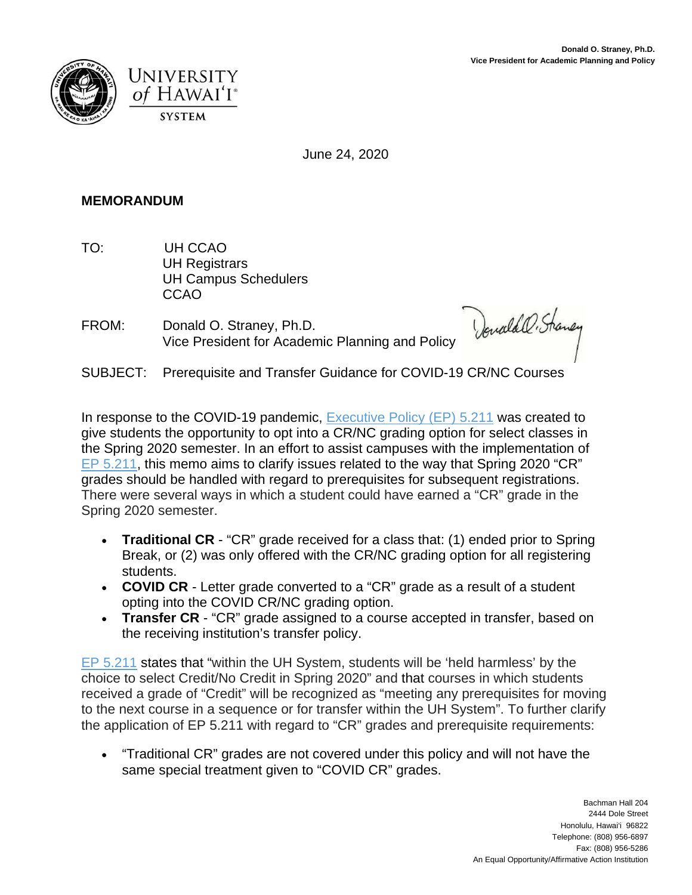



June 24, 2020

## **MEMORANDUM**

- TO: UH CCAO UH Registrars UH Campus Schedulers CCAO
- FROM: Donald O. Straney, Ph.D. Vice President for Academic Planning and Policy

Denald O. Straney

SUBJECT: Prerequisite and Transfer Guidance for COVID-19 CR/NC Courses

In response to the COVID-19 pandemic, Executive Policy (EP) 5.211 was created to give students the opportunity to opt into a CR/NC grading option for select classes in the Spring 2020 semester. In an effort to assist campuses with the implementation of EP 5.211, this memo aims to clarify issues related to the way that Spring 2020 "CR" grades should be handled with regard to prerequisites for subsequent registrations. There were several ways in which a student could have earned a "CR" grade in the Spring 2020 semester.

- **Traditional CR** "CR" grade received for a class that: (1) ended prior to Spring Break, or (2) was only offered with the CR/NC grading option for all registering students.
- **COVID CR** Letter grade converted to a "CR" grade as a result of a student opting into the COVID CR/NC grading option.
- **Transfer CR** "CR" grade assigned to a course accepted in transfer, based on the receiving institution's transfer policy.

EP 5.211 states that "within the UH System, students will be 'held harmless' by the choice to select Credit/No Credit in Spring 2020" and that courses in which students received a grade of "Credit" will be recognized as "meeting any prerequisites for moving to the next course in a sequence or for transfer within the UH System". To further clarify the application of EP 5.211 with regard to "CR" grades and prerequisite requirements:

 "Traditional CR" grades are not covered under this policy and will not have the same special treatment given to "COVID CR" grades.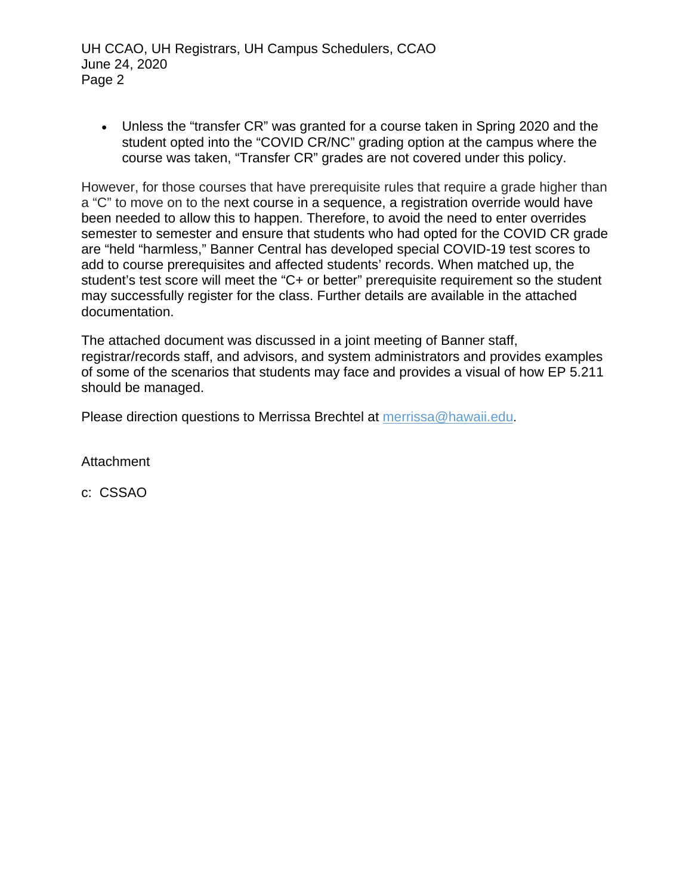UH CCAO, UH Registrars, UH Campus Schedulers, CCAO June 24, 2020 Page 2

 Unless the "transfer CR" was granted for a course taken in Spring 2020 and the student opted into the "COVID CR/NC" grading option at the campus where the course was taken, "Transfer CR" grades are not covered under this policy.

However, for those courses that have prerequisite rules that require a grade higher than a "C" to move on to the next course in a sequence, a registration override would have been needed to allow this to happen. Therefore, to avoid the need to enter overrides semester to semester and ensure that students who had opted for the COVID CR grade are "held "harmless," Banner Central has developed special COVID-19 test scores to add to course prerequisites and affected students' records. When matched up, the student's test score will meet the "C+ or better" prerequisite requirement so the student may successfully register for the class. Further details are available in the attached documentation.

The attached document was discussed in a joint meeting of Banner staff, registrar/records staff, and advisors, and system administrators and provides examples of some of the scenarios that students may face and provides a visual of how EP 5.211 should be managed.

Please direction questions to Merrissa Brechtel at merrissa@hawaii.edu.

**Attachment** 

c: CSSAO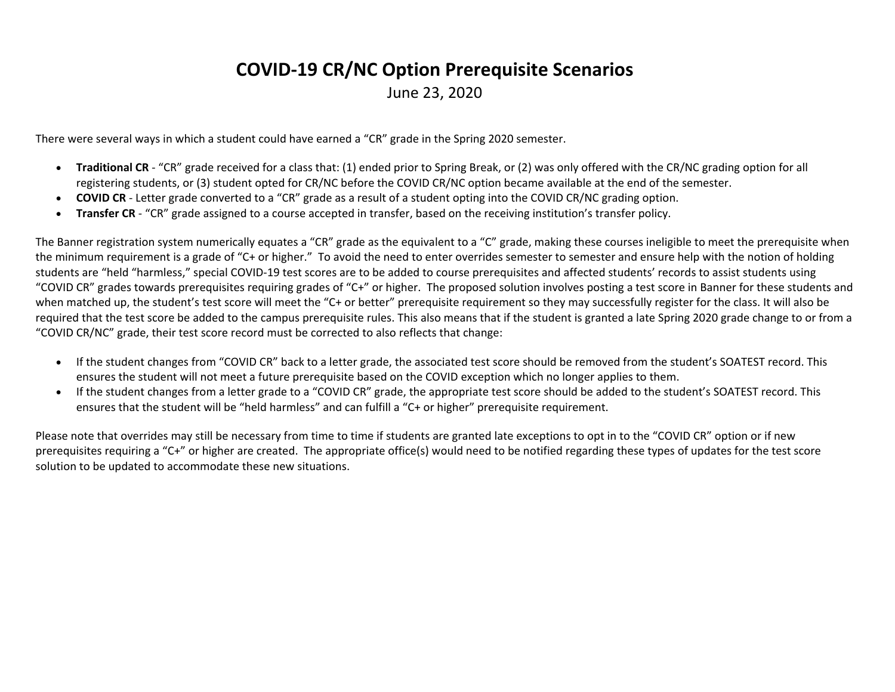# **COVID-19 CR/NC Option Prerequisite Scenarios**

June 23, 2020

There were several ways in which a student could have earned a "CR" grade in the Spring 2020 semester.

- **Traditional CR** "CR" grade received for a class that: (1) ended prior to Spring Break, or (2) was only offered with the CR/NC grading option for all registering students, or (3) student opted for CR/NC before the COVID CR/NC option became available at the end of the semester.
- **COVID CR** Letter grade converted to a "CR" grade as a result of a student opting into the COVID CR/NC grading option.
- **Transfer CR** "CR" grade assigned to a course accepted in transfer, based on the receiving institution's transfer policy.

The Banner registration system numerically equates a "CR" grade as the equivalent to a "C" grade, making these courses ineligible to meet the prerequisite when the minimum requirement is a grade of "C+ or higher." To avoid the need to enter overrides semester to semester and ensure help with the notion of holding students are "held "harmless," special COVID-19 test scores are to be added to course prerequisites and affected students' records to assist students using "COVID CR" grades towards prerequisites requiring grades of "C+" or higher. The proposed solution involves posting a test score in Banner for these students and when matched up, the student's test score will meet the "C+ or better" prerequisite requirement so they may successfully register for the class. It will also be required that the test score be added to the campus prerequisite rules. This also means that if the student is granted a late Spring 2020 grade change to or from a "COVID CR/NC" grade, their test score record must be corrected to also reflects that change:

- If the student changes from "COVID CR" back to a letter grade, the associated test score should be removed from the student's SOATEST record. This ensures the student will not meet a future prerequisite based on the COVID exception which no longer applies to them.
- If the student changes from a letter grade to a "COVID CR" grade, the appropriate test score should be added to the student's SOATEST record. This ensures that the student will be "held harmless" and can fulfill a "C+ or higher" prerequisite requirement.

Please note that overrides may still be necessary from time to time if students are granted late exceptions to opt in to the "COVID CR" option or if new prerequisites requiring a "C+" or higher are created. The appropriate office(s) would need to be notified regarding these types of updates for the test score solution to be updated to accommodate these new situations.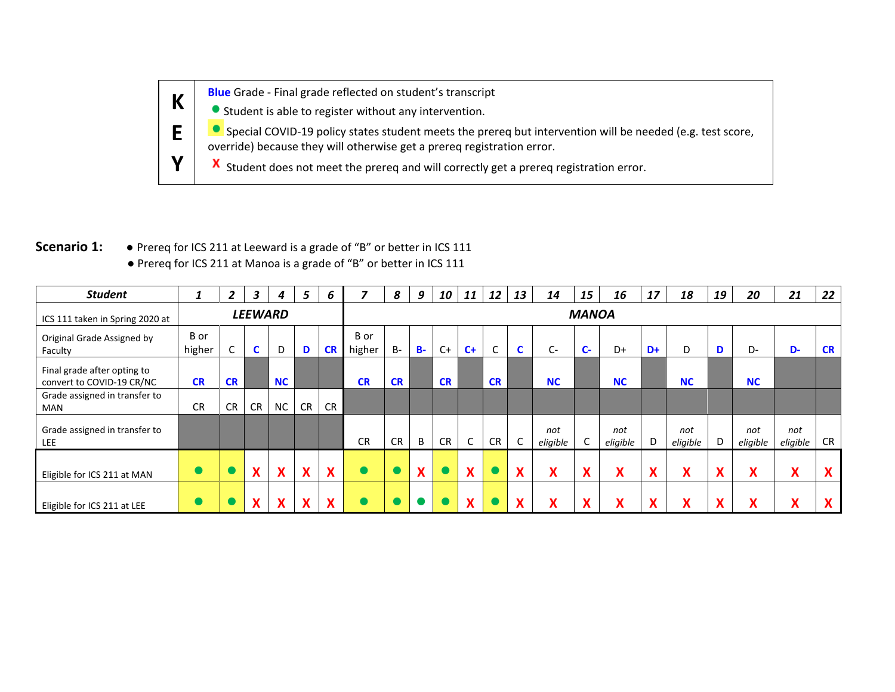**Blue** Grade - Final grade reflected on student's transcript **K**

Student is able to register without any intervention.

**O** Special COVID-19 policy states student meets the prereq but intervention will be needed (e.g. test score, override) because they will otherwise get a prereq registration error.

X Student does not meet the prereq and will correctly get a prereq registration error.

# **Scenario 1: ●** Prereq for ICS 211 at Leeward is a grade of "B" or better in ICS 111 ● Prereq for ICS 211 at Manoa is a grade of "B" or better in ICS 111

**E**

**Y**

| <b>Student</b>                                           | -1             | 2              | $\overline{\mathbf{3}}$ | 4                                      | 5                                         | 6                         |                | 8            | 9      | 10        | 11           | 12        | 13           | 14                             | 15                           | 16                             | 17                | 18                                     | 19                        | 20                             | 21                                        | 22                     |
|----------------------------------------------------------|----------------|----------------|-------------------------|----------------------------------------|-------------------------------------------|---------------------------|----------------|--------------|--------|-----------|--------------|-----------|--------------|--------------------------------|------------------------------|--------------------------------|-------------------|----------------------------------------|---------------------------|--------------------------------|-------------------------------------------|------------------------|
| ICS 111 taken in Spring 2020 at                          |                | <b>LEEWARD</b> |                         |                                        |                                           |                           |                | <b>MANOA</b> |        |           |              |           |              |                                |                              |                                |                   |                                        |                           |                                |                                           |                        |
| Original Grade Assigned by<br>Faculty                    | B or<br>higher | $\mathsf{C}$   | C                       | D                                      | D                                         | <b>CR</b>                 | B or<br>higher | $B -$        | $B -$  | $C+$      | $C +$        | C         |              | C-                             | $\mathbf{C}$                 | D+                             | D+                | D                                      |                           | D-                             | D-                                        | <b>CR</b>              |
| Final grade after opting to<br>convert to COVID-19 CR/NC | <b>CR</b>      | <b>CR</b>      |                         | <b>NC</b>                              |                                           |                           | <b>CR</b>      | <b>CR</b>    |        | <b>CR</b> |              | <b>CR</b> |              | <b>NC</b>                      |                              | <b>NC</b>                      |                   | <b>NC</b>                              |                           | <b>NC</b>                      |                                           |                        |
| Grade assigned in transfer to<br>MAN                     | <b>CR</b>      | CR             | CR                      | <b>NC</b>                              | <b>CR</b>                                 | <b>CR</b>                 |                |              |        |           |              |           |              |                                |                              |                                |                   |                                        |                           |                                |                                           |                        |
| Grade assigned in transfer to<br>LEE                     |                |                |                         |                                        |                                           |                           | <b>CR</b>      | <b>CR</b>    | B      | <b>CR</b> | $\mathsf{C}$ | <b>CR</b> |              | not<br>eligible                |                              | not<br>eligible                | D                 | not<br>eligible                        | D.                        | not<br>eligible                | not<br>eligible                           | <b>CR</b>              |
| Eligible for ICS 211 at MAN                              |                |                | X                       | $\checkmark$<br>$\boldsymbol{\Lambda}$ | X                                         | X                         |                |              | v<br>Λ |           | X            |           | $\mathbf{A}$ | v<br>$\boldsymbol{\mathsf{r}}$ | $\mathbf{v}$<br>$\mathbf{A}$ | v<br>$\boldsymbol{\mathsf{A}}$ | v<br>$\mathbf{v}$ | X                                      | $\mathbf{v}$              | X                              | $\checkmark$<br>$\boldsymbol{\mathsf{A}}$ | X                      |
| Eligible for ICS 211 at LEE                              |                |                | $\boldsymbol{X}$        | $\mathbf{v}$<br>Λ                      | $\mathbf{v}$<br>$\boldsymbol{\mathsf{A}}$ | $\boldsymbol{\mathsf{x}}$ |                |              |        |           | X            |           | $\mathbf{v}$ | v<br>$\boldsymbol{\mathsf{r}}$ | $\mathbf{v}$                 | v<br>Λ                         | v<br>Λ            | $\checkmark$<br>$\boldsymbol{\Lambda}$ | $\boldsymbol{\mathsf{A}}$ | v<br>$\boldsymbol{\mathsf{A}}$ | $\mathbf{v}$<br>$\boldsymbol{\Lambda}$    | $\boldsymbol{\Lambda}$ |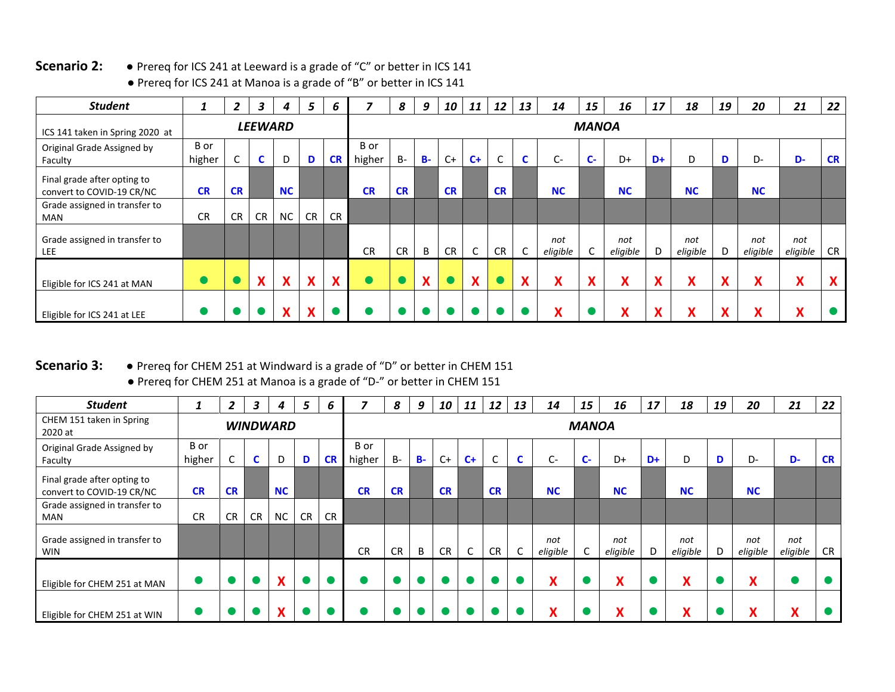## **Scenario 2: ●** Prereq for ICS 241 at Leeward is a grade of "C" or better in ICS 141

| <b>Student</b>                                           |                | $\overline{2}$ | $\mathbf{3}$   | 4         | 5                         | 6         |                | 8            | 9     | 10        | 11                        | 12                       | 13         | 14              | 15                                        | 16                                         | 17                         | 18                             | 19                | 20                              | 21              | 22        |
|----------------------------------------------------------|----------------|----------------|----------------|-----------|---------------------------|-----------|----------------|--------------|-------|-----------|---------------------------|--------------------------|------------|-----------------|-------------------------------------------|--------------------------------------------|----------------------------|--------------------------------|-------------------|---------------------------------|-----------------|-----------|
| ICS 141 taken in Spring 2020 at                          |                |                | <b>LEEWARD</b> |           |                           |           |                | <b>MANOA</b> |       |           |                           |                          |            |                 |                                           |                                            |                            |                                |                   |                                 |                 |           |
| Original Grade Assigned by<br>Faculty                    | B or<br>higher | C              | C              | D         | D                         | <b>CR</b> | B or<br>higher | $B -$        | $B -$ | $C+$      | $C+$                      | $\overline{\phantom{0}}$ | <b>C</b>   | C-              | $C -$                                     | D+                                         | D+                         | D                              | D                 | D-                              | D-              | <b>CR</b> |
| Final grade after opting to<br>convert to COVID-19 CR/NC | <b>CR</b>      | <b>CR</b>      |                | <b>NC</b> |                           |           | <b>CR</b>      | <b>CR</b>    |       | <b>CR</b> |                           | <b>CR</b>                |            | <b>NC</b>       |                                           | <b>NC</b>                                  |                            | <b>NC</b>                      |                   | <b>NC</b>                       |                 |           |
| Grade assigned in transfer to<br>MAN                     | <b>CR</b>      | <b>CR</b>      | <b>CR</b>      | <b>NC</b> | CR                        | <b>CR</b> |                |              |       |           |                           |                          |            |                 |                                           |                                            |                            |                                |                   |                                 |                 |           |
| Grade assigned in transfer to<br><b>LEE</b>              |                |                |                |           |                           |           | <b>CR</b>      | <b>CR</b>    | B     | <b>CR</b> | $\mathsf{C}$              | <b>CR</b>                | $\sqrt{2}$ | not<br>eligible |                                           | not<br>eligible                            | D                          | not<br>eligible                | D                 | not<br>eligible                 | not<br>eligible | <b>CR</b> |
| Eligible for ICS 241 at MAN                              |                |                | <b>X</b>       | X         | $\boldsymbol{X}$          | X         |                |              | X     |           | $\boldsymbol{\mathsf{x}}$ |                          | X          | v<br>Λ          | $\mathbf{v}$<br>$\boldsymbol{\mathsf{A}}$ | $\checkmark$<br>$\boldsymbol{\mathcal{L}}$ | $\boldsymbol{\mathcal{N}}$ | X                              | X                 | v<br>$\boldsymbol{\mathcal{L}}$ | X               | X         |
| Eligible for ICS 241 at LEE                              |                |                |                | v<br>Λ    | $\boldsymbol{\mathsf{X}}$ |           |                |              |       |           |                           |                          |            | v               |                                           | $\mathbf{v}$                               |                            | v<br>$\boldsymbol{\mathsf{A}}$ | $\checkmark$<br>Λ | v<br>$\boldsymbol{\Lambda}$     | v               |           |

● Prereq for ICS 241 at Manoa is a grade of "B" or better in ICS 141

### **Scenario 3: ●** Prereq for CHEM 251 at Windward is a grade of "D" or better in CHEM 151 ● Prereq for CHEM 251 at Manoa is a grade of "D-" or better in CHEM 151

| <b>Student</b>                                           |                | 2               | 3         | 4                      | 5         | 6         | 7              | 8            | 9     | 10        | 11   | 12           | 13 | 14                                        | 15 | 16                             | 17 | 18                        | 19 | 20                | 21                                     | 22        |
|----------------------------------------------------------|----------------|-----------------|-----------|------------------------|-----------|-----------|----------------|--------------|-------|-----------|------|--------------|----|-------------------------------------------|----|--------------------------------|----|---------------------------|----|-------------------|----------------------------------------|-----------|
| CHEM 151 taken in Spring<br>2020 at                      |                | <b>WINDWARD</b> |           |                        |           |           |                | <b>MANOA</b> |       |           |      |              |    |                                           |    |                                |    |                           |    |                   |                                        |           |
| Original Grade Assigned by<br>Faculty                    | B or<br>higher | C               | C         | D                      | D         | <b>CR</b> | B or<br>higher | $B -$        | $B -$ | $C+$      | $C+$ | $\mathsf{C}$ | C. | C-                                        | C- | D+                             | D+ | D                         | D  | D-                | D-                                     | <b>CR</b> |
| Final grade after opting to<br>convert to COVID-19 CR/NC | <b>CR</b>      | <b>CR</b>       |           | <b>NC</b>              |           |           | <b>CR</b>      | <b>CR</b>    |       | <b>CR</b> |      | <b>CR</b>    |    | <b>NC</b>                                 |    | <b>NC</b>                      |    | <b>NC</b>                 |    | <b>NC</b>         |                                        |           |
| Grade assigned in transfer to<br>MAN                     | <b>CR</b>      | <b>CR</b>       | <b>CR</b> | NC                     | <b>CR</b> | <b>CR</b> |                |              |       |           |      |              |    |                                           |    |                                |    |                           |    |                   |                                        |           |
| Grade assigned in transfer to<br><b>WIN</b>              |                |                 |           |                        |           |           | <b>CR</b>      | <b>CR</b>    | B     | <b>CR</b> | C    | <b>CR</b>    |    | not<br>eligible                           |    | not<br>eligible                | D  | not<br>eligible           | D  | not<br>eligible   | not<br>eligible                        | <b>CR</b> |
| Eligible for CHEM 251 at MAN                             |                |                 |           | $\boldsymbol{\Lambda}$ |           |           |                |              |       |           |      |              |    | $\checkmark$<br>$\boldsymbol{\mathsf{A}}$ |    | v<br>$\boldsymbol{\mathsf{A}}$ |    | $\boldsymbol{\mathsf{x}}$ |    | X                 |                                        |           |
| Eligible for CHEM 251 at WIN                             |                |                 |           |                        |           |           |                |              |       |           |      |              |    | v                                         |    | v<br>Λ                         |    | v<br>Λ                    |    | $\checkmark$<br>Λ | $\mathbf{v}$<br>$\boldsymbol{\Lambda}$ |           |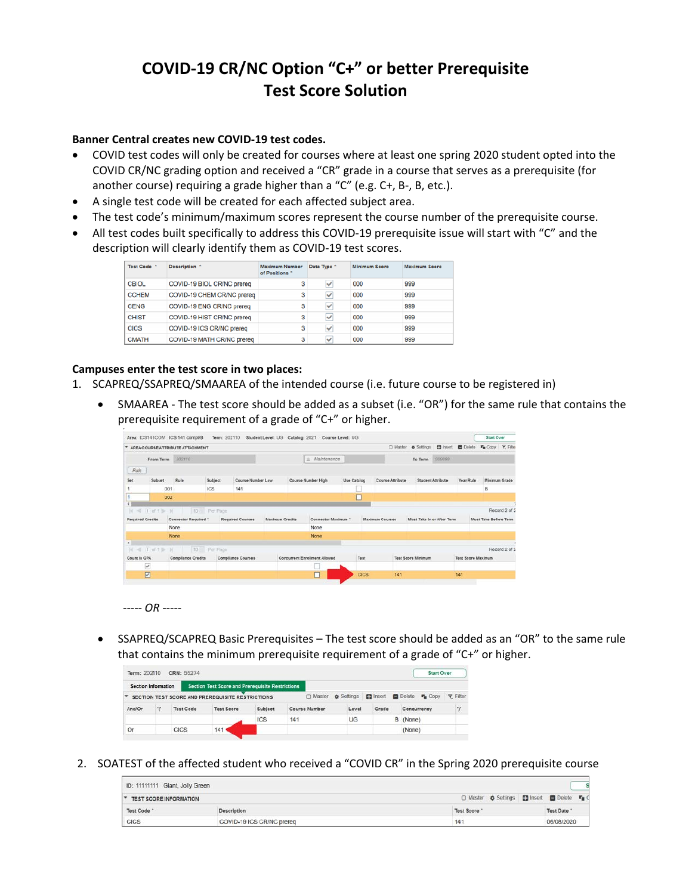# **COVID-19 CR/NC Option "C+" or better Prerequisite Test Score Solution**

### **Banner Central creates new COVID-19 test codes.**

- COVID test codes will only be created for courses where at least one spring 2020 student opted into the COVID CR/NC grading option and received a "CR" grade in a course that serves as a prerequisite (for another course) requiring a grade higher than a "C" (e.g. C+, B-, B, etc.).
- A single test code will be created for each affected subject area.
- The test code's minimum/maximum scores represent the course number of the prerequisite course.
- All test codes built specifically to address this COVID-19 prerequisite issue will start with "C" and the description will clearly identify them as COVID-19 test scores.

| <b>Test Code</b> | Description <sup>*</sup>   | Maximum Number<br>of Positions * | Data Type * | <b>Minimum Score</b> | <b>Maximum Score</b> |
|------------------|----------------------------|----------------------------------|-------------|----------------------|----------------------|
| <b>CBIOL</b>     | COVID-19 BIOL CR/NC prereq | з                                | ✓           | 000                  | 999                  |
| <b>CCHEM</b>     | COVID-19 CHEM CR/NC prereq | з                                | v           | 000                  | 999                  |
| <b>CENG</b>      | COVID-19 ENG CR/NC prereq  | 3                                | v           | 000                  | 999                  |
| <b>CHIST</b>     | COVID-19 HIST CR/NC prereq | 3                                | v           | 000                  | 999                  |
| <b>CICS</b>      | COVID-19 ICS CR/NC prereq  | з                                | v           | 000                  | 999                  |
| <b>CMATH</b>     | COVID-19 MATH CR/NC prereq | 3                                | v           | 000                  | 999                  |

### **Campuses enter the test score in two places:**

- 1. SCAPREQ/SSAPREQ/SMAAREA of the intended course (i.e. future course to be registered in)
	- SMAAREA The test score should be added as a subset (i.e. "OR") for the same rule that contains the prerequisite requirement of a grade of "C+" or higher.

|              |                         | Area: ICS141COM ICS 141 compl/B         |                  | Term: 202110 Student Level: UG Catalog: 2021 Course Level: UG |                        |                                      |             |                        |                           |                            |                            | <b>Start Over</b>            |               |
|--------------|-------------------------|-----------------------------------------|------------------|---------------------------------------------------------------|------------------------|--------------------------------------|-------------|------------------------|---------------------------|----------------------------|----------------------------|------------------------------|---------------|
|              |                         | <b>AREA COURSEIATTRIBUTE ATTACHMENT</b> |                  |                                                               |                        |                                      |             |                        | O Master & Settings       |                            | <b>El Insert</b> El Delete | F <sub>B</sub> Copy Y Filter |               |
|              | From Term               | 202110                                  |                  |                                                               |                        | a Maintenance                        |             |                        | To Term                   | 000999                     |                            |                              |               |
| Rule         |                         |                                         |                  |                                                               |                        |                                      |             |                        |                           |                            |                            |                              |               |
| Set          | <b>Subset</b>           | Rule                                    | Subject          | Course Number Low                                             |                        | Course Number High                   | Use Catalog | Course Attribute       |                           | <b>Student Attribute</b>   | Year Rule                  | Minimum Grade                |               |
|              |                         | 001                                     | ICS              | 141                                                           |                        |                                      |             |                        |                           |                            |                            | B                            |               |
|              |                         | 002                                     |                  |                                                               |                        |                                      | о           |                        |                           |                            |                            |                              |               |
| TC.          | 图 1 df 1 b 1            |                                         | 10 8<br>Per Page |                                                               |                        |                                      |             |                        |                           |                            |                            |                              | Record 2 of 2 |
|              | <b>Required Credits</b> | Connector Required                      |                  | Required Courses                                              | <b>Maximum Credits</b> | Connector Maximum *                  |             | <b>Maximum Courses</b> |                           | Must Take In or After Term |                            | Must Take Before Term        |               |
|              |                         | None                                    |                  |                                                               |                        | None                                 |             |                        |                           |                            |                            |                              |               |
|              |                         | None                                    |                  |                                                               |                        | None                                 |             |                        |                           |                            |                            |                              |               |
|              |                         |                                         |                  |                                                               |                        |                                      |             |                        |                           |                            |                            |                              |               |
| 36           | ≤ 1 of 1 ≥ N            |                                         | 10 Per Page      |                                                               |                        |                                      |             |                        |                           |                            |                            |                              | Record 2 of 2 |
| Count in GPA |                         | <b>Compliance Credits</b>               |                  | <b>Compliance Courses</b>                                     |                        | <b>Concurrent Enrollment Allowed</b> | Test        |                        | <b>Test Score Minimum</b> |                            | <b>Test Score Maximum</b>  |                              |               |
|              | $\checkmark$            |                                         |                  |                                                               |                        |                                      |             |                        |                           |                            |                            |                              |               |
|              | Ø                       |                                         |                  |                                                               |                        | players and                          | <b>CICS</b> | 141                    |                           |                            | 141                        |                              |               |



• SSAPREQ/SCAPREQ Basic Prerequisites – The test score should be added as an "OR" to the same rule that contains the minimum prerequisite requirement of a grade of "C+" or higher.

| Term: 202110        |                       | CRN: 55274 |                                                         |         |                      |       |                 |               | <b>Start Over</b>     |                 |
|---------------------|-----------------------|------------|---------------------------------------------------------|---------|----------------------|-------|-----------------|---------------|-----------------------|-----------------|
| Section Information |                       |            | <b>Section Test Score and Prerequisite Restrictions</b> |         |                      |       |                 |               |                       |                 |
|                     |                       |            | SECTION TEST SCORE AND PREREQUISITE RESTRICTIONS        |         | □ Master & Settings  |       | <b>B</b> Insert | <b>Delete</b> | $F_{\text{III}}$ CODV | <b>Y</b> Filter |
| And/Or              | T<br><b>Test Code</b> |            | <b>Test Score</b>                                       | Subject | <b>Course Number</b> | Level | Grade           | Concurrency   |                       | T.              |
|                     |                       |            |                                                         | ICS     | 141                  | UG    |                 | B (None)      |                       |                 |
| Or                  |                       | CICS       | 14'                                                     |         |                      |       |                 | (None)        |                       |                 |

2. SOATEST of the affected student who received a "COVID CR" in the Spring 2020 prerequisite course

| ID: 11111111 Giant, Jolly Green |                           |                                                  |                  |
|---------------------------------|---------------------------|--------------------------------------------------|------------------|
| <b>TEST SCORE INFORMATION</b>   |                           | □ Master $\otimes$ Settings ■ Insert ■ Delete 『』 |                  |
| Test Code                       | <b>Description</b>        | <b>Test Score</b>                                | <b>Test Date</b> |
| <b>CICS</b>                     | COVID-19 ICS CR/NC prereq | 14'                                              | 06/08/2020       |